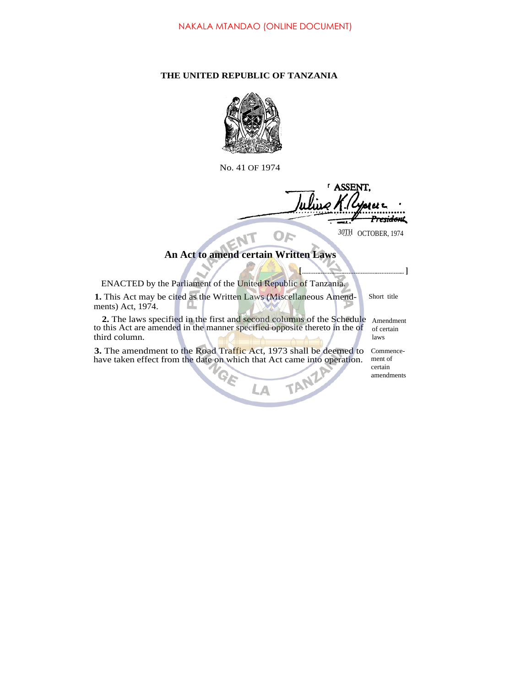## **THE UNITED REPUBLIC OF TANZANIA**



No. 41 OF 1974

<sup>r</sup> ASSENT. ا صرزا اا President  $-$ *30*TH OCTOBER, 1974  $O_F$ 

**[ ]**

## **An Act to amend certain Written Laws**

| ENACTED by the Parliament of the United Republic of Tanzania.                                                                                                               |                                               |
|-----------------------------------------------------------------------------------------------------------------------------------------------------------------------------|-----------------------------------------------|
| 1. This Act may be cited as the Written Laws (Miscellaneous Amend-<br>ments) Act, 1974.                                                                                     | Short title                                   |
| <b>2.</b> The laws specified in the first and second columns of the Schedule<br>to this Act are amended in the manner specified opposite thereto in the of<br>third column. | Amendment<br>of certain<br>laws               |
| 3. The amendment to the Road Traffic Act, 1973 shall be deemed to<br>have taken effect from the date on which that Act came into operation.                                 | Commence-<br>ment of<br>certain<br>amendments |